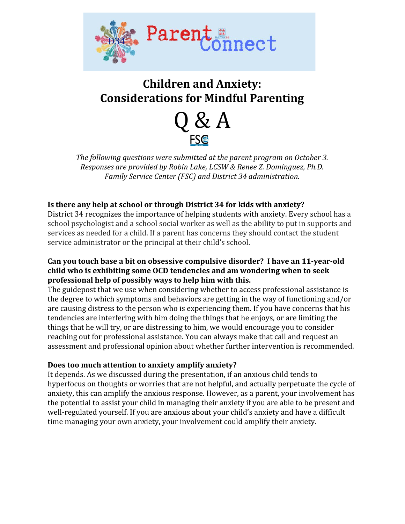

# **Children and Anxiety: Considerations for Mindful Parenting**



*The following questions were submitted at the parent program on October 3. Responses are provided by Robin Lake, LCSW & Renee Z. Dominguez, Ph.D. Family Service Center (FSC) and District 34 administration.*

# **Is there any help at school or through District 34 for kids with anxiety?**

District 34 recognizes the importance of helping students with anxiety. Every school has a school psychologist and a school social worker as well as the ability to put in supports and services as needed for a child. If a parent has concerns they should contact the student service administrator or the principal at their child's school.

# **Can you touch base a bit on obsessive compulsive disorder? I have an 11-year-old child who is exhibiting some OCD tendencies and am wondering when to seek professional help of possibly ways to help him with this.**

The guidepost that we use when considering whether to access professional assistance is the degree to which symptoms and behaviors are getting in the way of functioning and/or are causing distress to the person who is experiencing them. If you have concerns that his tendencies are interfering with him doing the things that he enjoys, or are limiting the things that he will try, or are distressing to him, we would encourage you to consider reaching out for professional assistance. You can always make that call and request an assessment and professional opinion about whether further intervention is recommended.

# **Does too much attention to anxiety amplify anxiety?**

It depends. As we discussed during the presentation, if an anxious child tends to hyperfocus on thoughts or worries that are not helpful, and actually perpetuate the cycle of anxiety, this can amplify the anxious response. However, as a parent, your involvement has the potential to assist your child in managing their anxiety if you are able to be present and well-regulated yourself. If you are anxious about your child's anxiety and have a difficult time managing your own anxiety, your involvement could amplify their anxiety.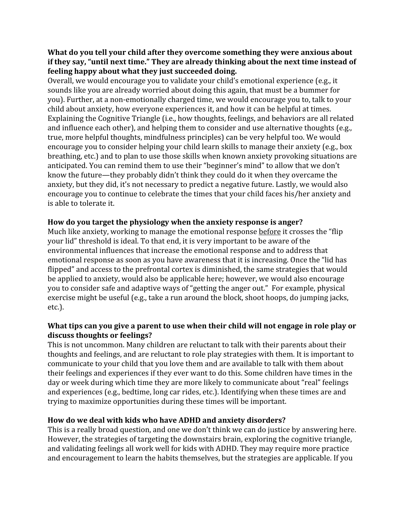## **What do you tell your child after they overcome something they were anxious about if they say, "until next time." They are already thinking about the next time instead of feeling happy about what they just succeeded doing.**

Overall, we would encourage you to validate your child's emotional experience (e.g., it sounds like you are already worried about doing this again, that must be a bummer for you). Further, at a non-emotionally charged time, we would encourage you to, talk to your child about anxiety, how everyone experiences it, and how it can be helpful at times. Explaining the Cognitive Triangle (i.e., how thoughts, feelings, and behaviors are all related and influence each other), and helping them to consider and use alternative thoughts (e.g., true, more helpful thoughts, mindfulness principles) can be very helpful too. We would encourage you to consider helping your child learn skills to manage their anxiety (e.g., box breathing, etc.) and to plan to use those skills when known anxiety provoking situations are anticipated. You can remind them to use their "beginner's mind" to allow that we don't know the future—they probably didn't think they could do it when they overcame the anxiety, but they did, it's not necessary to predict a negative future. Lastly, we would also encourage you to continue to celebrate the times that your child faces his/her anxiety and is able to tolerate it.

# **How do you target the physiology when the anxiety response is anger?**

Much like anxiety, working to manage the emotional response before it crosses the "flip your lid" threshold is ideal. To that end, it is very important to be aware of the environmental influences that increase the emotional response and to address that emotional response as soon as you have awareness that it is increasing. Once the "lid has flipped" and access to the prefrontal cortex is diminished, the same strategies that would be applied to anxiety, would also be applicable here; however, we would also encourage you to consider safe and adaptive ways of "getting the anger out." For example, physical exercise might be useful (e.g., take a run around the block, shoot hoops, do jumping jacks, etc.).

#### **What tips can you give a parent to use when their child will not engage in role play or discuss thoughts or feelings?**

This is not uncommon. Many children are reluctant to talk with their parents about their thoughts and feelings, and are reluctant to role play strategies with them. It is important to communicate to your child that you love them and are available to talk with them about their feelings and experiences if they ever want to do this. Some children have times in the day or week during which time they are more likely to communicate about "real" feelings and experiences (e.g., bedtime, long car rides, etc.). Identifying when these times are and trying to maximize opportunities during these times will be important.

# **How do we deal with kids who have ADHD and anxiety disorders?**

This is a really broad question, and one we don't think we can do justice by answering here. However, the strategies of targeting the downstairs brain, exploring the cognitive triangle, and validating feelings all work well for kids with ADHD. They may require more practice and encouragement to learn the habits themselves, but the strategies are applicable. If you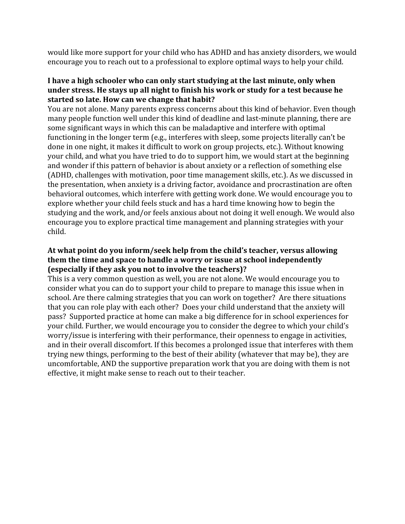would like more support for your child who has ADHD and has anxiety disorders, we would encourage you to reach out to a professional to explore optimal ways to help your child.

#### **I have a high schooler who can only start studying at the last minute, only when under stress. He stays up all night to finish his work or study for a test because he started so late. How can we change that habit?**

You are not alone. Many parents express concerns about this kind of behavior. Even though many people function well under this kind of deadline and last-minute planning, there are some significant ways in which this can be maladaptive and interfere with optimal functioning in the longer term (e.g., interferes with sleep, some projects literally can't be done in one night, it makes it difficult to work on group projects, etc.). Without knowing your child, and what you have tried to do to support him, we would start at the beginning and wonder if this pattern of behavior is about anxiety or a reflection of something else (ADHD, challenges with motivation, poor time management skills, etc.). As we discussed in the presentation, when anxiety is a driving factor, avoidance and procrastination are often behavioral outcomes, which interfere with getting work done. We would encourage you to explore whether your child feels stuck and has a hard time knowing how to begin the studying and the work, and/or feels anxious about not doing it well enough. We would also encourage you to explore practical time management and planning strategies with your child.

# **At what point do you inform/seek help from the child's teacher, versus allowing them the time and space to handle a worry or issue at school independently (especially if they ask you not to involve the teachers)?**

This is a very common question as well, you are not alone. We would encourage you to consider what you can do to support your child to prepare to manage this issue when in school. Are there calming strategies that you can work on together? Are there situations that you can role play with each other? Does your child understand that the anxiety will pass? Supported practice at home can make a big difference for in school experiences for your child. Further, we would encourage you to consider the degree to which your child's worry/issue is interfering with their performance, their openness to engage in activities, and in their overall discomfort. If this becomes a prolonged issue that interferes with them trying new things, performing to the best of their ability (whatever that may be), they are uncomfortable, AND the supportive preparation work that you are doing with them is not effective, it might make sense to reach out to their teacher.